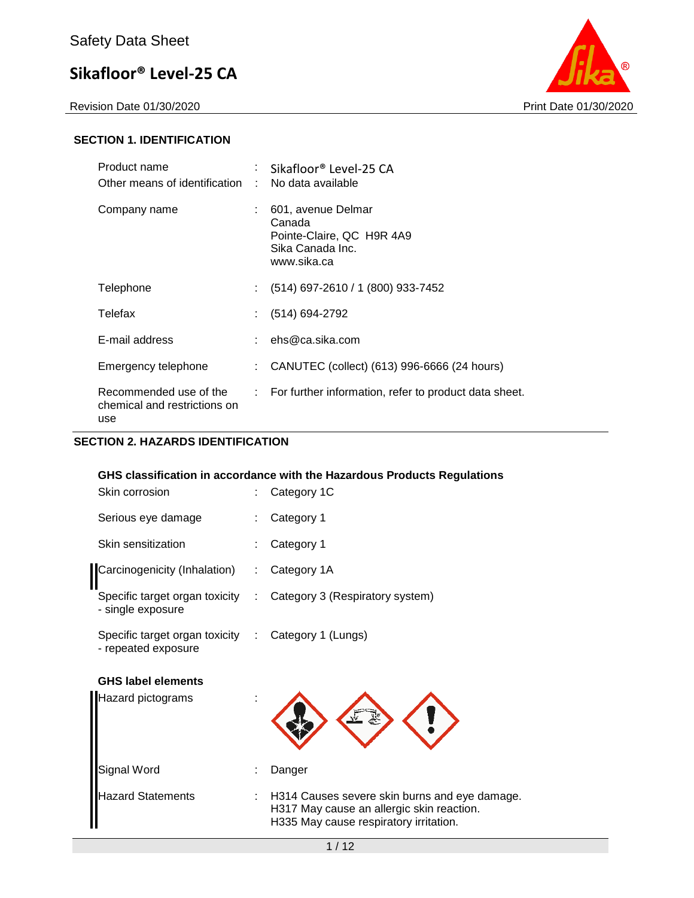Revision Date 01/30/2020 Print Date 01/30/2020



#### **SECTION 1. IDENTIFICATION**

| Product name<br>Other means of identification : No data available |    | Sikafloor® Level-25 CA                                                                       |
|-------------------------------------------------------------------|----|----------------------------------------------------------------------------------------------|
| Company name                                                      |    | 601, avenue Delmar<br>Canada<br>Pointe-Claire, QC H9R 4A9<br>Sika Canada Inc.<br>www.sika.ca |
| Telephone                                                         | t. | (514) 697-2610 / 1 (800) 933-7452                                                            |
| Telefax                                                           |    | : (514) 694-2792                                                                             |
| E-mail address                                                    |    | : $ehs@ca.sika.com$                                                                          |
| Emergency telephone                                               | ÷. | CANUTEC (collect) (613) 996-6666 (24 hours)                                                  |
| Recommended use of the<br>chemical and restrictions on<br>use     |    | $\therefore$ For further information, refer to product data sheet.                           |

#### **SECTION 2. HAZARDS IDENTIFICATION**

#### **GHS classification in accordance with the Hazardous Products Regulations**

| Skin corrosion                                                             | ÷  | Category 1C                     |
|----------------------------------------------------------------------------|----|---------------------------------|
| Serious eye damage                                                         |    | Category 1                      |
| Skin sensitization                                                         |    | Category 1                      |
| Carcinogenicity (Inhalation)                                               | ÷. | Category 1A                     |
| Specific target organ toxicity<br>- single exposure                        | ÷. | Category 3 (Respiratory system) |
| Specific target organ toxicity : Category 1 (Lungs)<br>- repeated exposure |    |                                 |
| <b>GHS label elements</b>                                                  |    |                                 |
| <b>Hazard pictograms</b>                                                   |    |                                 |
| Signal Word                                                                |    | Danger                          |

Hazard Statements : H314 Causes severe skin burns and eye damage. H317 May cause an allergic skin reaction. H335 May cause respiratory irritation.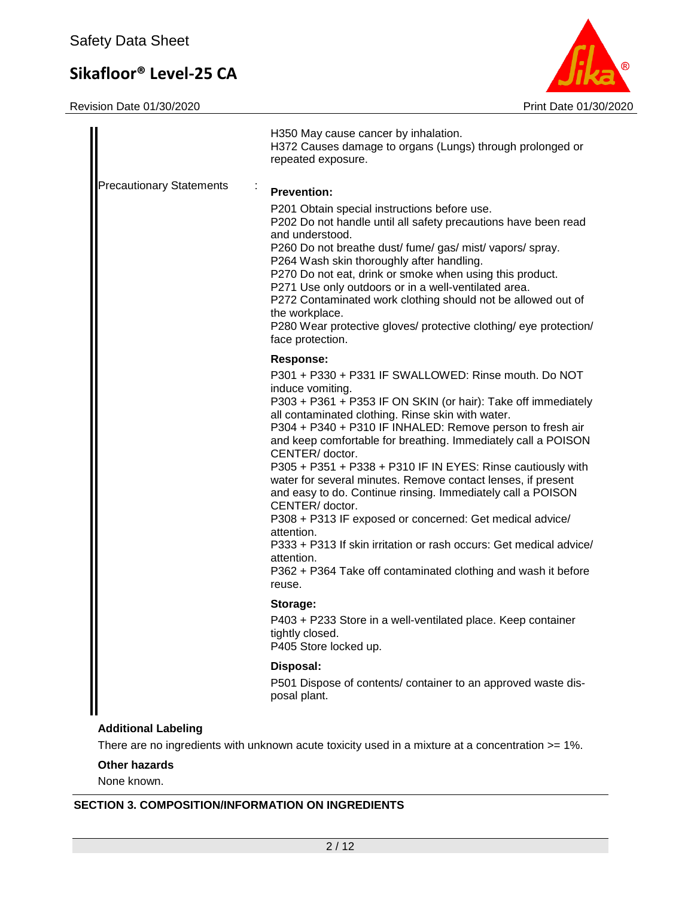Revision Date 01/30/2020 Print Date 01/30/2020



|                                 | H350 May cause cancer by inhalation.<br>H372 Causes damage to organs (Lungs) through prolonged or<br>repeated exposure.                                                                                                                                                                                                                                                                                                                                                                                                                                                                                                                                                                                                                                                                                                       |
|---------------------------------|-------------------------------------------------------------------------------------------------------------------------------------------------------------------------------------------------------------------------------------------------------------------------------------------------------------------------------------------------------------------------------------------------------------------------------------------------------------------------------------------------------------------------------------------------------------------------------------------------------------------------------------------------------------------------------------------------------------------------------------------------------------------------------------------------------------------------------|
| <b>Precautionary Statements</b> | <b>Prevention:</b><br>P201 Obtain special instructions before use.<br>P202 Do not handle until all safety precautions have been read<br>and understood.<br>P260 Do not breathe dust/ fume/ gas/ mist/ vapors/ spray.<br>P264 Wash skin thoroughly after handling.<br>P270 Do not eat, drink or smoke when using this product.<br>P271 Use only outdoors or in a well-ventilated area.<br>P272 Contaminated work clothing should not be allowed out of<br>the workplace.<br>P280 Wear protective gloves/ protective clothing/ eye protection/<br>face protection.                                                                                                                                                                                                                                                              |
|                                 | <b>Response:</b><br>P301 + P330 + P331 IF SWALLOWED: Rinse mouth. Do NOT<br>induce vomiting.<br>P303 + P361 + P353 IF ON SKIN (or hair): Take off immediately<br>all contaminated clothing. Rinse skin with water.<br>P304 + P340 + P310 IF INHALED: Remove person to fresh air<br>and keep comfortable for breathing. Immediately call a POISON<br>CENTER/ doctor.<br>P305 + P351 + P338 + P310 IF IN EYES: Rinse cautiously with<br>water for several minutes. Remove contact lenses, if present<br>and easy to do. Continue rinsing. Immediately call a POISON<br>CENTER/ doctor.<br>P308 + P313 IF exposed or concerned: Get medical advice/<br>attention.<br>P333 + P313 If skin irritation or rash occurs: Get medical advice/<br>attention.<br>P362 + P364 Take off contaminated clothing and wash it before<br>reuse. |
|                                 | Storage:<br>P403 + P233 Store in a well-ventilated place. Keep container<br>tightly closed.<br>P405 Store locked up.                                                                                                                                                                                                                                                                                                                                                                                                                                                                                                                                                                                                                                                                                                          |
|                                 | Disposal:<br>P501 Dispose of contents/ container to an approved waste dis-<br>posal plant.                                                                                                                                                                                                                                                                                                                                                                                                                                                                                                                                                                                                                                                                                                                                    |
| <b>Additional Labeling</b>      |                                                                                                                                                                                                                                                                                                                                                                                                                                                                                                                                                                                                                                                                                                                                                                                                                               |

There are no ingredients with unknown acute toxicity used in a mixture at a concentration >= 1%.

**Other hazards**

None known.

### **SECTION 3. COMPOSITION/INFORMATION ON INGREDIENTS**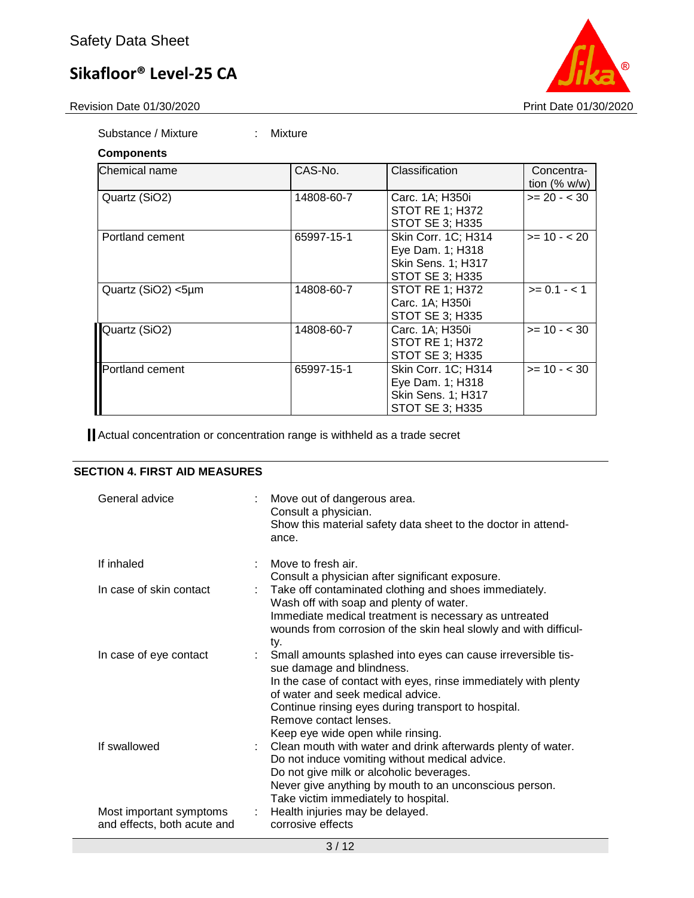Revision Date 01/30/2020 **Print Date 01/30/2020** 

Substance / Mixture : Mixture

| <b>Components</b>  |            |                                                                                  |                               |
|--------------------|------------|----------------------------------------------------------------------------------|-------------------------------|
| lChemical name     | CAS-No.    | Classification                                                                   | Concentra-<br>tion $(\% w/w)$ |
| Quartz (SiO2)      | 14808-60-7 | Carc. 1A; H350i<br>STOT RE 1; H372<br><b>STOT SE 3; H335</b>                     | $>= 20 - < 30$                |
| Portland cement    | 65997-15-1 | Skin Corr. 1C; H314<br>Eye Dam. 1; H318<br>Skin Sens. 1; H317<br>STOT SE 3; H335 | $>= 10 - 20$                  |
| Quartz (SiO2) <5µm | 14808-60-7 | <b>STOT RE 1: H372</b><br>Carc. 1A; H350i<br><b>STOT SE 3; H335</b>              | $>= 0.1 - 1$                  |
| Quartz (SiO2)      | 14808-60-7 | Carc. 1A; H350i<br><b>STOT RE 1; H372</b><br><b>STOT SE 3: H335</b>              | $>= 10 - 30$                  |
| Portland cement    | 65997-15-1 | Skin Corr. 1C; H314<br>Eye Dam. 1; H318<br>Skin Sens. 1; H317<br>STOT SE 3; H335 | $>= 10 - 30$                  |

Actual concentration or concentration range is withheld as a trade secret

### **SECTION 4. FIRST AID MEASURES**

| General advice                                         | Move out of dangerous area.<br>Consult a physician.<br>Show this material safety data sheet to the doctor in attend-<br>ance.                                                                                                                                                                                           |
|--------------------------------------------------------|-------------------------------------------------------------------------------------------------------------------------------------------------------------------------------------------------------------------------------------------------------------------------------------------------------------------------|
| If inhaled                                             | Move to fresh air.<br>Consult a physician after significant exposure.                                                                                                                                                                                                                                                   |
| In case of skin contact                                | Take off contaminated clothing and shoes immediately.<br>Wash off with soap and plenty of water.<br>Immediate medical treatment is necessary as untreated<br>wounds from corrosion of the skin heal slowly and with difficul-<br>ty.                                                                                    |
| In case of eye contact                                 | Small amounts splashed into eyes can cause irreversible tis-<br>sue damage and blindness.<br>In the case of contact with eyes, rinse immediately with plenty<br>of water and seek medical advice.<br>Continue rinsing eyes during transport to hospital.<br>Remove contact lenses.<br>Keep eye wide open while rinsing. |
| If swallowed                                           | Clean mouth with water and drink afterwards plenty of water.<br>Do not induce vomiting without medical advice.<br>Do not give milk or alcoholic beverages.<br>Never give anything by mouth to an unconscious person.<br>Take victim immediately to hospital.                                                            |
| Most important symptoms<br>and effects, both acute and | Health injuries may be delayed.<br>corrosive effects                                                                                                                                                                                                                                                                    |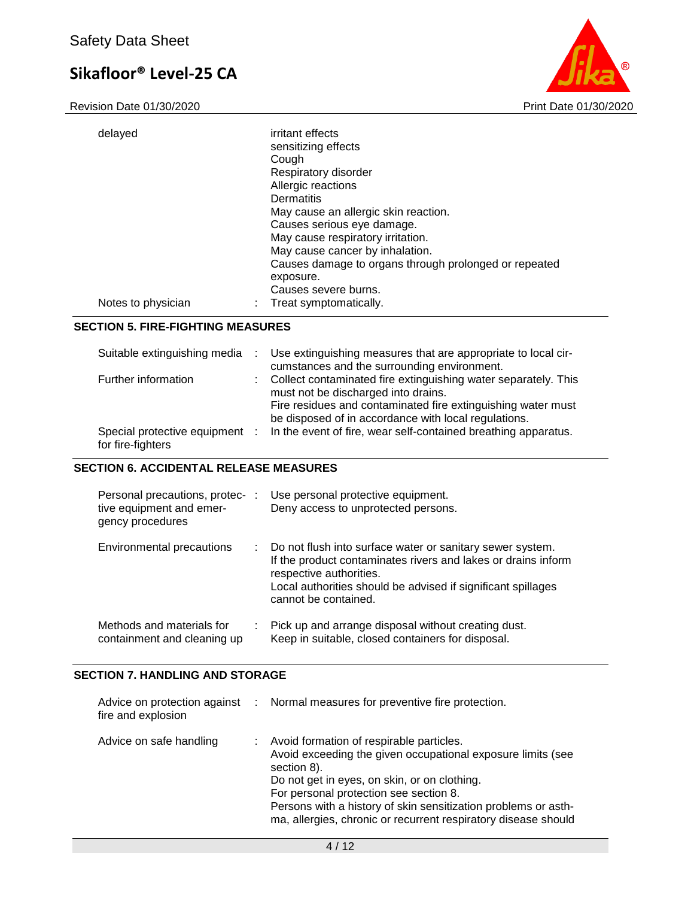Revision Date 01/30/2020 **Print Date 01/30/2020** 



| delayed            | irritant effects                                      |
|--------------------|-------------------------------------------------------|
|                    | sensitizing effects                                   |
|                    | Cough                                                 |
|                    | Respiratory disorder                                  |
|                    | Allergic reactions                                    |
|                    | Dermatitis                                            |
|                    | May cause an allergic skin reaction.                  |
|                    | Causes serious eye damage.                            |
|                    | May cause respiratory irritation.                     |
|                    | May cause cancer by inhalation.                       |
|                    | Causes damage to organs through prolonged or repeated |
|                    | exposure.                                             |
|                    | Causes severe burns.                                  |
| Notes to physician | Treat symptomatically.                                |
|                    |                                                       |

### **SECTION 5. FIRE-FIGHTING MEASURES**

| Suitable extinguishing media                        | Use extinguishing measures that are appropriate to local cir-<br>cumstances and the surrounding environment.                                                                                                                  |
|-----------------------------------------------------|-------------------------------------------------------------------------------------------------------------------------------------------------------------------------------------------------------------------------------|
| Further information                                 | Collect contaminated fire extinguishing water separately. This<br>must not be discharged into drains.<br>Fire residues and contaminated fire extinguishing water must<br>be disposed of in accordance with local regulations. |
| Special protective equipment :<br>for fire-fighters | In the event of fire, wear self-contained breathing apparatus.                                                                                                                                                                |

#### **SECTION 6. ACCIDENTAL RELEASE MEASURES**

| Personal precautions, protec- :<br>tive equipment and emer-<br>gency procedures |   | Use personal protective equipment.<br>Deny access to unprotected persons.                                                                                                                                                                     |
|---------------------------------------------------------------------------------|---|-----------------------------------------------------------------------------------------------------------------------------------------------------------------------------------------------------------------------------------------------|
| Environmental precautions                                                       | ÷ | Do not flush into surface water or sanitary sewer system.<br>If the product contaminates rivers and lakes or drains inform<br>respective authorities.<br>Local authorities should be advised if significant spillages<br>cannot be contained. |
| Methods and materials for<br>containment and cleaning up                        | ÷ | Pick up and arrange disposal without creating dust.<br>Keep in suitable, closed containers for disposal.                                                                                                                                      |

### **SECTION 7. HANDLING AND STORAGE**

| fire and explosion      | Advice on protection against : Normal measures for preventive fire protection.                                                                                                                                                                                                                                                                       |
|-------------------------|------------------------------------------------------------------------------------------------------------------------------------------------------------------------------------------------------------------------------------------------------------------------------------------------------------------------------------------------------|
| Advice on safe handling | Avoid formation of respirable particles.<br>Avoid exceeding the given occupational exposure limits (see<br>section 8).<br>Do not get in eyes, on skin, or on clothing.<br>For personal protection see section 8.<br>Persons with a history of skin sensitization problems or asth-<br>ma, allergies, chronic or recurrent respiratory disease should |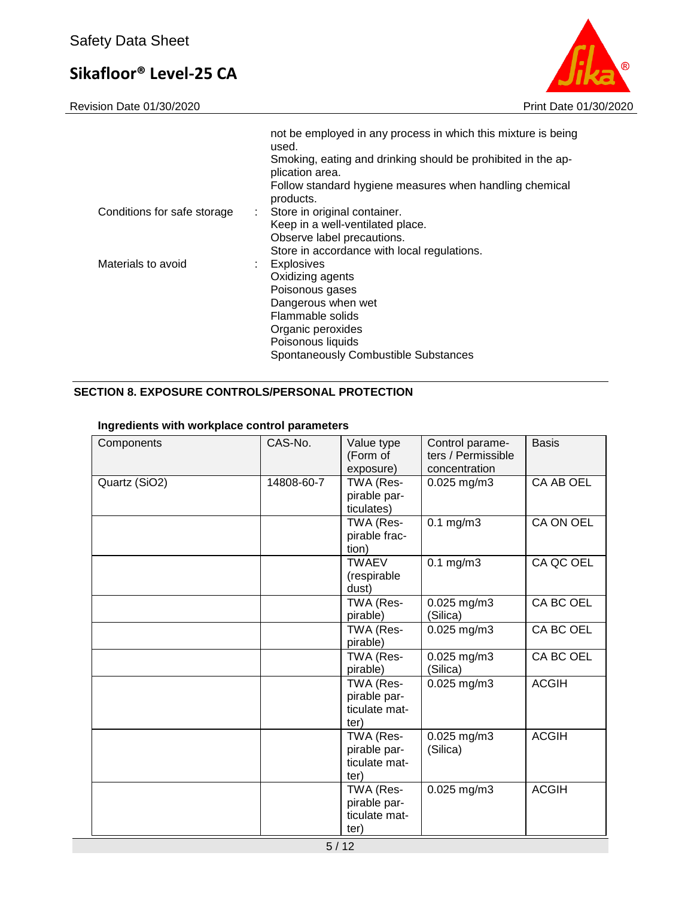Revision Date 01/30/2020 **Print Date 01/30/2020** 



|                             | not be employed in any process in which this mixture is being<br>used.<br>Smoking, eating and drinking should be prohibited in the ap-<br>plication area.<br>Follow standard hygiene measures when handling chemical<br>products. |
|-----------------------------|-----------------------------------------------------------------------------------------------------------------------------------------------------------------------------------------------------------------------------------|
| Conditions for safe storage | : Store in original container.<br>Keep in a well-ventilated place.<br>Observe label precautions.<br>Store in accordance with local regulations.                                                                                   |
| Materials to avoid          | : Explosives<br>Oxidizing agents<br>Poisonous gases<br>Dangerous when wet<br>Flammable solids<br>Organic peroxides<br>Poisonous liquids<br>Spontaneously Combustible Substances                                                   |

## **SECTION 8. EXPOSURE CONTROLS/PERSONAL PROTECTION**

### **Ingredients with workplace control parameters**

| Components    | CAS-No.    | Value type<br>(Form of<br>exposure)                | Control parame-<br>ters / Permissible<br>concentration | <b>Basis</b> |
|---------------|------------|----------------------------------------------------|--------------------------------------------------------|--------------|
| Quartz (SiO2) | 14808-60-7 | TWA (Res-<br>pirable par-<br>ticulates)            | 0.025 mg/m3                                            | CA AB OEL    |
|               |            | TWA (Res-<br>pirable frac-<br>tion)                | $0.1$ mg/m $3$                                         | CA ON OEL    |
|               |            | <b>TWAEV</b><br>(respirable<br>dust)               | $0.1$ mg/m $3$                                         | CA QC OEL    |
|               |            | TWA (Res-<br>pirable)                              | 0.025 mg/m3<br>(Silica)                                | CA BC OEL    |
|               |            | TWA (Res-<br>pirable)                              | 0.025 mg/m3                                            | CA BC OEL    |
|               |            | TWA (Res-<br>pirable)                              | 0.025 mg/m3<br>(Silica)                                | CA BC OEL    |
|               |            | TWA (Res-<br>pirable par-<br>ticulate mat-<br>ter) | 0.025 mg/m3                                            | <b>ACGIH</b> |
|               |            | TWA (Res-<br>pirable par-<br>ticulate mat-<br>ter) | 0.025 mg/m3<br>(Silica)                                | <b>ACGIH</b> |
|               |            | TWA (Res-<br>pirable par-<br>ticulate mat-<br>ter) | $0.025$ mg/m3                                          | <b>ACGIH</b> |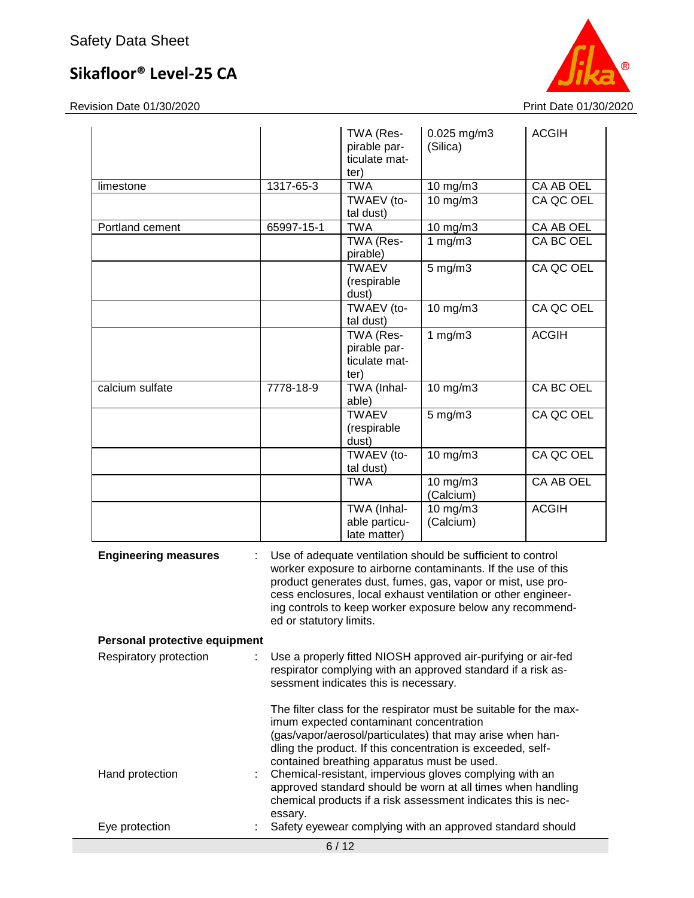

|                               |                                                                                                                                                                                                                                                                                                                                                     | TWA (Res-<br>pirable par-<br>ticulate mat-<br>ter) | $0.025$ mg/m3<br>(Silica)                                                                                                                                                                     | <b>ACGIH</b> |  |
|-------------------------------|-----------------------------------------------------------------------------------------------------------------------------------------------------------------------------------------------------------------------------------------------------------------------------------------------------------------------------------------------------|----------------------------------------------------|-----------------------------------------------------------------------------------------------------------------------------------------------------------------------------------------------|--------------|--|
| limestone                     | 1317-65-3                                                                                                                                                                                                                                                                                                                                           | <b>TWA</b>                                         | $10$ mg/m $3$                                                                                                                                                                                 | CA AB OEL    |  |
|                               |                                                                                                                                                                                                                                                                                                                                                     | TWAEV (to-<br>tal dust)                            | $10$ mg/m $3$                                                                                                                                                                                 | CA QC OEL    |  |
| Portland cement               | 65997-15-1                                                                                                                                                                                                                                                                                                                                          | <b>TWA</b>                                         | 10 mg/m3                                                                                                                                                                                      | CA AB OEL    |  |
|                               |                                                                                                                                                                                                                                                                                                                                                     | TWA (Res-<br>pirable)                              | 1 $mg/m3$                                                                                                                                                                                     | CA BC OEL    |  |
|                               |                                                                                                                                                                                                                                                                                                                                                     | <b>TWAEV</b><br>(respirable<br>dust)               | $5$ mg/m $3$                                                                                                                                                                                  | CA QC OEL    |  |
|                               |                                                                                                                                                                                                                                                                                                                                                     | TWAEV (to-<br>tal dust)                            | 10 mg/m3                                                                                                                                                                                      | CA QC OEL    |  |
|                               |                                                                                                                                                                                                                                                                                                                                                     | TWA (Res-<br>pirable par-<br>ticulate mat-<br>ter) | 1 $mg/m3$                                                                                                                                                                                     | <b>ACGIH</b> |  |
| calcium sulfate               | 7778-18-9                                                                                                                                                                                                                                                                                                                                           | TWA (Inhal-<br>able)                               | 10 mg/m3                                                                                                                                                                                      | CA BC OEL    |  |
|                               |                                                                                                                                                                                                                                                                                                                                                     | <b>TWAEV</b><br>(respirable<br>dust)               | 5 mg/m3                                                                                                                                                                                       | CA QC OEL    |  |
|                               |                                                                                                                                                                                                                                                                                                                                                     | TWAEV (to-<br>tal dust)                            | 10 mg/m3                                                                                                                                                                                      | CA QC OEL    |  |
|                               |                                                                                                                                                                                                                                                                                                                                                     | <b>TWA</b>                                         | 10 mg/m3<br>(Calcium)                                                                                                                                                                         | CA AB OEL    |  |
|                               |                                                                                                                                                                                                                                                                                                                                                     | TWA (Inhal-<br>able particu-<br>late matter)       | 10 mg/m3<br>(Calcium)                                                                                                                                                                         | <b>ACGIH</b> |  |
| <b>Engineering measures</b>   | Use of adequate ventilation should be sufficient to control<br>worker exposure to airborne contaminants. If the use of this<br>product generates dust, fumes, gas, vapor or mist, use pro-<br>cess enclosures, local exhaust ventilation or other engineer-<br>ing controls to keep worker exposure below any recommend-<br>ed or statutory limits. |                                                    |                                                                                                                                                                                               |              |  |
| Personal protective equipment |                                                                                                                                                                                                                                                                                                                                                     |                                                    |                                                                                                                                                                                               |              |  |
| Respiratory protection        |                                                                                                                                                                                                                                                                                                                                                     | sessment indicates this is necessary.              | Use a properly fitted NIOSH approved air-purifying or air-fed<br>respirator complying with an approved standard if a risk as-                                                                 |              |  |
|                               |                                                                                                                                                                                                                                                                                                                                                     | imum expected contaminant concentration            | The filter class for the respirator must be suitable for the max-<br>(gas/vapor/aerosol/particulates) that may arise when han-<br>dling the product. If this concentration is exceeded, self- |              |  |

|                 | contained breathing apparatus must be used.                   |
|-----------------|---------------------------------------------------------------|
| Hand protection | : Chemical-resistant, impervious gloves complying with an     |
|                 | approved standard should be worn at all times when handling   |
|                 | chemical products if a risk assessment indicates this is nec- |
|                 | essary.                                                       |
| Eve protection  | . Safety every examplying with an approved standard should    |

Eye protection : Safety eyewear complying with an approved standard should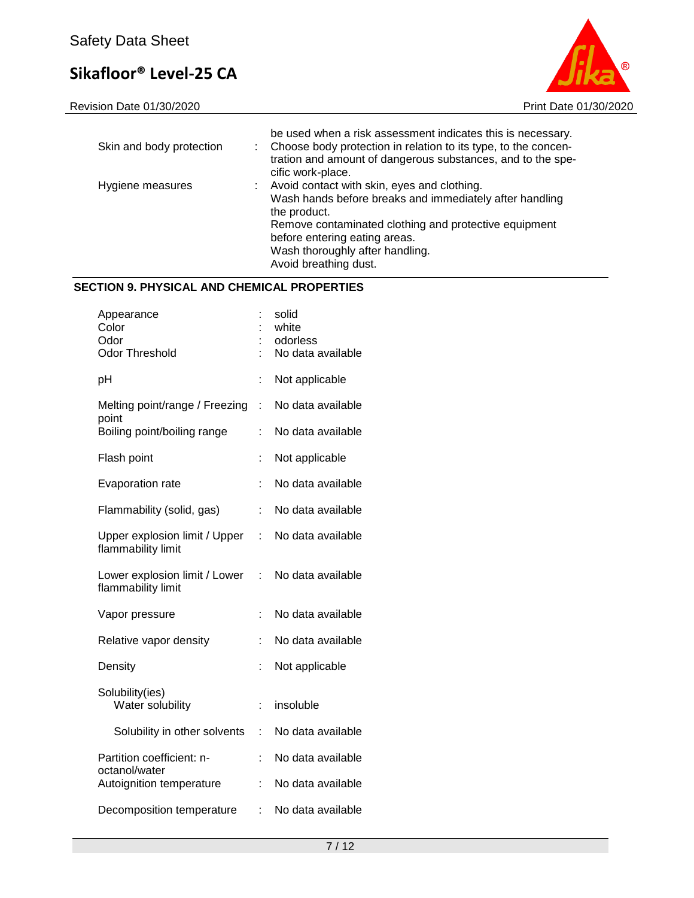Revision Date 01/30/2020 **Print Date 01/30/2020** 



| Skin and body protection | be used when a risk assessment indicates this is necessary.<br>Choose body protection in relation to its type, to the concen-<br>tration and amount of dangerous substances, and to the spe-<br>cific work-place.                                                            |
|--------------------------|------------------------------------------------------------------------------------------------------------------------------------------------------------------------------------------------------------------------------------------------------------------------------|
| Hygiene measures         | Avoid contact with skin, eyes and clothing.<br>Wash hands before breaks and immediately after handling<br>the product.<br>Remove contaminated clothing and protective equipment<br>before entering eating areas.<br>Wash thoroughly after handling.<br>Avoid breathing dust. |

### **SECTION 9. PHYSICAL AND CHEMICAL PROPERTIES**

| Appearance<br>Color<br>Odor<br><b>Odor Threshold</b> |    | solid<br>white<br>odorless<br>No data available |
|------------------------------------------------------|----|-------------------------------------------------|
| pH                                                   | t  | Not applicable                                  |
| Melting point/range / Freezing<br>point              | t  | No data available                               |
| Boiling point/boiling range                          | t  | No data available                               |
| Flash point                                          |    | Not applicable                                  |
| Evaporation rate                                     | t  | No data available                               |
| Flammability (solid, gas)                            | t  | No data available                               |
| Upper explosion limit / Upper<br>flammability limit  | t  | No data available                               |
| Lower explosion limit / Lower<br>flammability limit  | t. | No data available                               |
| Vapor pressure                                       | t  | No data available                               |
| Relative vapor density                               | t  | No data available                               |
| Density                                              | t  | Not applicable                                  |
| Solubility(ies)<br>Water solubility                  | t  | insoluble                                       |
| Solubility in other solvents                         | ÷  | No data available                               |
| Partition coefficient: n-                            | t  | No data available                               |
| octanol/water<br>Autoignition temperature            | t  | No data available                               |
| Decomposition temperature                            | t. | No data available                               |
|                                                      |    |                                                 |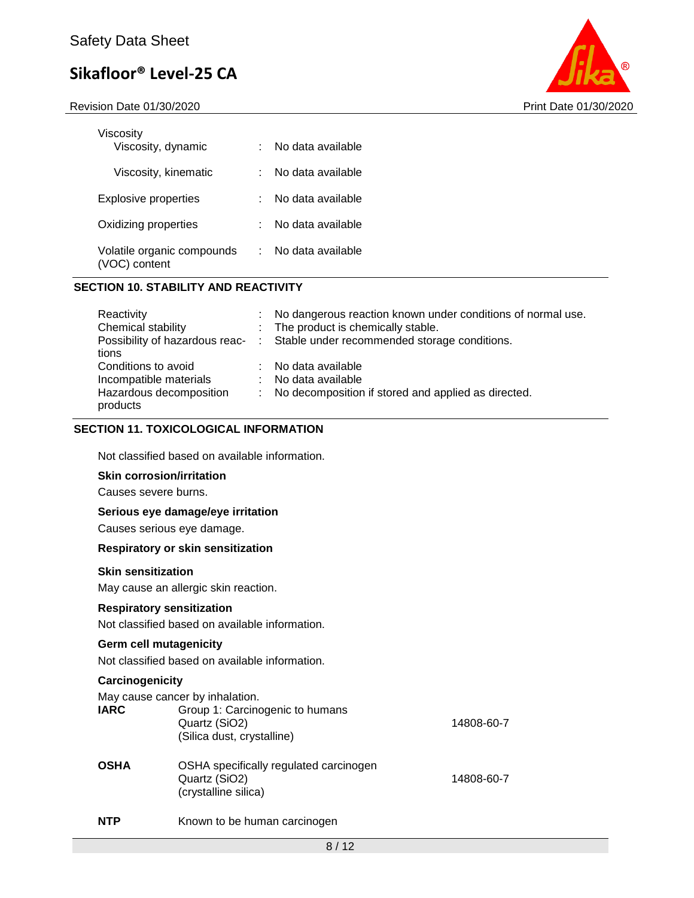Revision Date 01/30/2020 Print Date 01/30/2020



| Viscosity<br>Viscosity, dynamic          | No data available |
|------------------------------------------|-------------------|
| Viscosity, kinematic                     | No data available |
| Explosive properties                     | No data available |
| Oxidizing properties                     | No data available |
| Volatile organic compounds<br>C) content | No data available |

#### **SECTION 10. STABILITY AND REACTIVITY**

| Reactivity              | : No dangerous reaction known under conditions of normal use.                 |
|-------------------------|-------------------------------------------------------------------------------|
| Chemical stability      | : The product is chemically stable.                                           |
|                         | Possibility of hazardous reac- : Stable under recommended storage conditions. |
| tions                   |                                                                               |
| Conditions to avoid     | : No data available                                                           |
| Incompatible materials  | : No data available                                                           |
| Hazardous decomposition | : No decomposition if stored and applied as directed.                         |
| products                |                                                                               |

#### **SECTION 11. TOXICOLOGICAL INFORMATION**

Not classified based on available information.

#### **Skin corrosion/irritation**

Causes severe burns.

#### **Serious eye damage/eye irritation**

Causes serious eye damage.

#### **Respiratory or skin sensitization**

#### **Skin sensitization**

May cause an allergic skin reaction.

#### **Respiratory sensitization**

Not classified based on available information.

#### **Germ cell mutagenicity**

Not classified based on available information.

#### **Carcinogenicity**

| <b>IARC</b> | May cause cancer by inhalation.<br>Group 1: Carcinogenic to humans<br>Quartz (SiO2)<br>(Silica dust, crystalline) | 14808-60-7 |
|-------------|-------------------------------------------------------------------------------------------------------------------|------------|
| <b>OSHA</b> | OSHA specifically regulated carcinogen<br>Quartz (SiO2)<br>(crystalline silica)                                   | 14808-60-7 |
| <b>NTP</b>  | Known to be human carcinogen                                                                                      |            |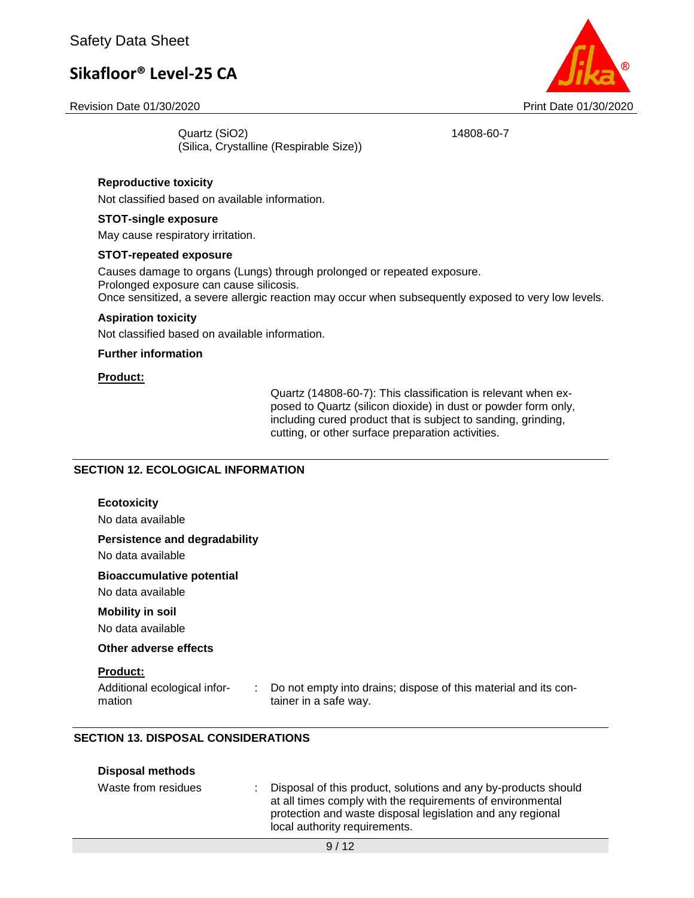Revision Date 01/30/2020 Print Date 01/30/2020



Quartz (SiO2) 14808-60-7 (Silica, Crystalline (Respirable Size))

### **Reproductive toxicity**

Not classified based on available information.

#### **STOT-single exposure**

May cause respiratory irritation.

#### **STOT-repeated exposure**

Causes damage to organs (Lungs) through prolonged or repeated exposure. Prolonged exposure can cause silicosis. Once sensitized, a severe allergic reaction may occur when subsequently exposed to very low levels.

#### **Aspiration toxicity**

Not classified based on available information.

#### **Further information**

#### **Product:**

Quartz (14808-60-7): This classification is relevant when exposed to Quartz (silicon dioxide) in dust or powder form only, including cured product that is subject to sanding, grinding, cutting, or other surface preparation activities.

#### **SECTION 12. ECOLOGICAL INFORMATION**

#### **Ecotoxicity**

No data available

#### **Persistence and degradability**

No data available

#### **Bioaccumulative potential**

No data available

#### **Mobility in soil**

No data available

#### **Other adverse effects**

#### **Product:**

Additional ecological information

: Do not empty into drains; dispose of this material and its container in a safe way.

#### **SECTION 13. DISPOSAL CONSIDERATIONS**

| <b>Disposal methods</b> |                                                                                                                                                                                                                             |
|-------------------------|-----------------------------------------------------------------------------------------------------------------------------------------------------------------------------------------------------------------------------|
| Waste from residues     | Disposal of this product, solutions and any by-products should<br>at all times comply with the requirements of environmental<br>protection and waste disposal legislation and any regional<br>local authority requirements. |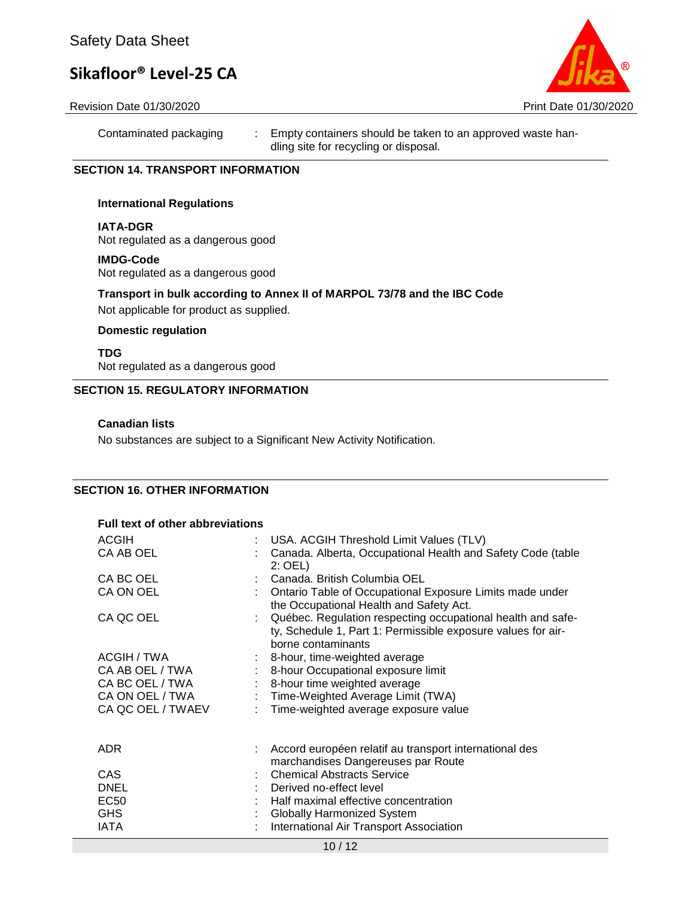

#### Revision Date 01/30/2020 Print Date 01/30/2020

Contaminated packaging : Empty containers should be taken to an approved waste handling site for recycling or disposal.

#### **SECTION 14. TRANSPORT INFORMATION**

#### **International Regulations**

**IATA-DGR**

Not regulated as a dangerous good

#### **IMDG-Code**

Not regulated as a dangerous good

#### **Transport in bulk according to Annex II of MARPOL 73/78 and the IBC Code**

Not applicable for product as supplied.

#### **Domestic regulation**

**TDG** Not regulated as a dangerous good

#### **SECTION 15. REGULATORY INFORMATION**

#### **Canadian lists**

No substances are subject to a Significant New Activity Notification.

### **SECTION 16. OTHER INFORMATION**

#### **Full text of other abbreviations**

| <b>ACGIH</b><br>CA AB OEL                                                                 | : USA. ACGIH Threshold Limit Values (TLV)<br>Canada. Alberta, Occupational Health and Safety Code (table<br>$2:$ OEL)                                                                                                                                                                     |
|-------------------------------------------------------------------------------------------|-------------------------------------------------------------------------------------------------------------------------------------------------------------------------------------------------------------------------------------------------------------------------------------------|
| CA BC OEL<br>CA ON OEL<br>CA QC OEL                                                       | Canada. British Columbia OEL<br>Ontario Table of Occupational Exposure Limits made under<br>the Occupational Health and Safety Act.<br>Québec. Regulation respecting occupational health and safe-                                                                                        |
| ACGIH / TWA<br>CA AB OEL / TWA<br>CA BC OEL / TWA<br>CA ON OEL / TWA<br>CA QC OEL / TWAEV | ty, Schedule 1, Part 1: Permissible exposure values for air-<br>borne contaminants<br>$\therefore$ 8-hour, time-weighted average<br>: 8-hour Occupational exposure limit<br>: 8-hour time weighted average<br>: Time-Weighted Average Limit (TWA)<br>Time-weighted average exposure value |
| ADR.<br><b>CAS</b><br><b>DNEL</b><br><b>EC50</b><br><b>GHS</b><br><b>IATA</b>             | Accord européen relatif au transport international des<br>marchandises Dangereuses par Route<br><b>Chemical Abstracts Service</b><br>: Derived no-effect level<br>: Half maximal effective concentration<br><b>Globally Harmonized System</b><br>International Air Transport Association  |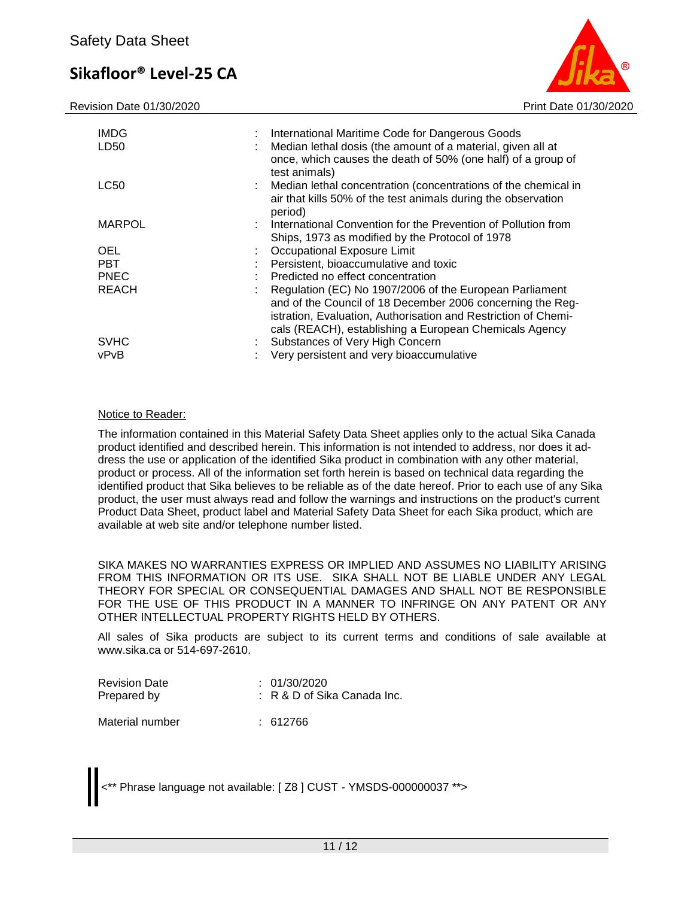Revision Date 01/30/2020 Print Date 01/30/2020



| <b>IMDG</b><br>LD50 |    | : International Maritime Code for Dangerous Goods<br>Median lethal dosis (the amount of a material, given all at<br>once, which causes the death of 50% (one half) of a group of<br>test animals)                                                 |
|---------------------|----|---------------------------------------------------------------------------------------------------------------------------------------------------------------------------------------------------------------------------------------------------|
| LC50                |    | : Median lethal concentration (concentrations of the chemical in<br>air that kills 50% of the test animals during the observation<br>period)                                                                                                      |
| <b>MARPOL</b>       |    | : International Convention for the Prevention of Pollution from<br>Ships, 1973 as modified by the Protocol of 1978                                                                                                                                |
| <b>OEL</b>          |    | Occupational Exposure Limit                                                                                                                                                                                                                       |
| <b>PBT</b>          |    | Persistent, bioaccumulative and toxic                                                                                                                                                                                                             |
| <b>PNEC</b>         |    | Predicted no effect concentration                                                                                                                                                                                                                 |
| <b>REACH</b>        |    | Regulation (EC) No 1907/2006 of the European Parliament<br>and of the Council of 18 December 2006 concerning the Reg-<br>istration, Evaluation, Authorisation and Restriction of Chemi-<br>cals (REACH), establishing a European Chemicals Agency |
| <b>SVHC</b>         | t. | Substances of Very High Concern                                                                                                                                                                                                                   |
| vPvB                |    | Very persistent and very bioaccumulative                                                                                                                                                                                                          |

#### Notice to Reader:

The information contained in this Material Safety Data Sheet applies only to the actual Sika Canada product identified and described herein. This information is not intended to address, nor does it address the use or application of the identified Sika product in combination with any other material, product or process. All of the information set forth herein is based on technical data regarding the identified product that Sika believes to be reliable as of the date hereof. Prior to each use of any Sika product, the user must always read and follow the warnings and instructions on the product's current Product Data Sheet, product label and Material Safety Data Sheet for each Sika product, which are available at web site and/or telephone number listed.

SIKA MAKES NO WARRANTIES EXPRESS OR IMPLIED AND ASSUMES NO LIABILITY ARISING FROM THIS INFORMATION OR ITS USE. SIKA SHALL NOT BE LIABLE UNDER ANY LEGAL THEORY FOR SPECIAL OR CONSEQUENTIAL DAMAGES AND SHALL NOT BE RESPONSIBLE FOR THE USE OF THIS PRODUCT IN A MANNER TO INFRINGE ON ANY PATENT OR ANY OTHER INTELLECTUAL PROPERTY RIGHTS HELD BY OTHERS.

All sales of Sika products are subject to its current terms and conditions of sale available at www.sika.ca or 514-697-2610.

| <b>Revision Date</b> | : 01/30/2020                  |  |  |
|----------------------|-------------------------------|--|--|
| Prepared by          | $: R$ & D of Sika Canada Inc. |  |  |
| Material number      | : 612766                      |  |  |

<\*\* Phrase language not available: [ Z8 ] CUST - YMSDS-000000037 \*\*>